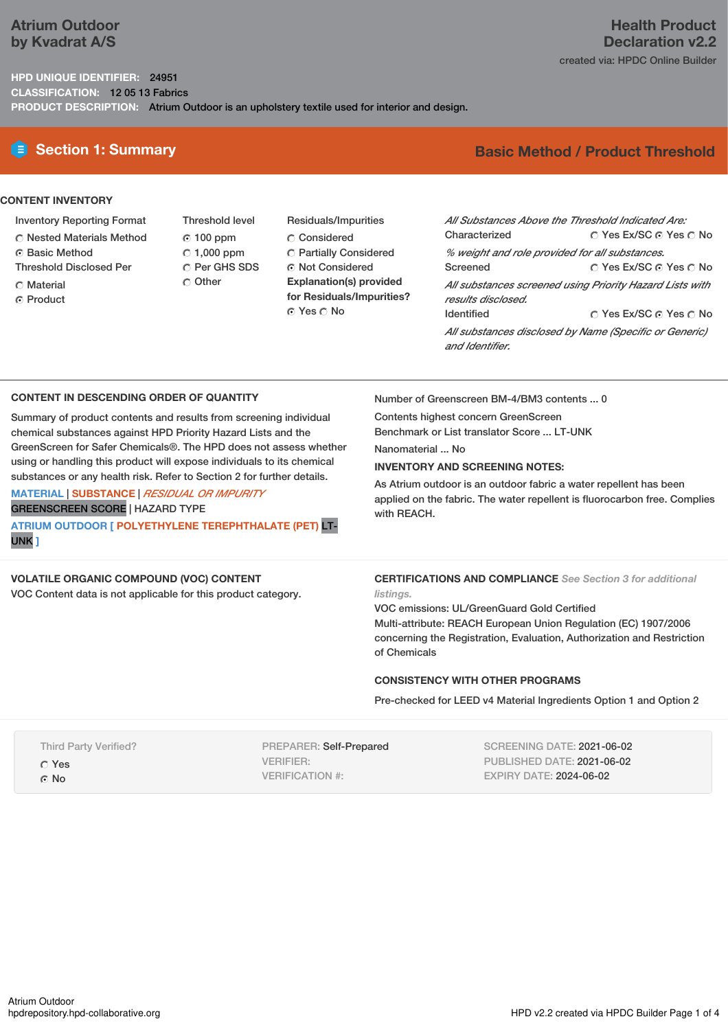## **Atrium Outdoor by Kvadrat A/S**

## **Health Product Declaration v2.2** created via: HPDC Online Builder

**HPD UNIQUE IDENTIFIER:** 24951 **CLASSIFICATION:** 12 05 13 Fabrics **PRODUCT DESCRIPTION:** Atrium Outdoor is an upholstery textile used for interior and design.

# **CONTENT INVENTORY**

- Inventory Reporting Format
- Nested Materials Method
- Basic Method
- Threshold Disclosed Per
- C Material
- ⊙ Product
- Threshold level  $© 100 ppm$  $C$  1,000 ppm C Per GHS SDS O Other
- Residuals/Impurities Considered Partially Considered Not Considered **Explanation(s) provided for Residuals/Impurities?** ⊙ Yes O No

# **E** Section 1: Summary **Basic** Method / Product Threshold

| All Substances Above the Threshold Indicated Are:        |                        |  |  |  |  |
|----------------------------------------------------------|------------------------|--|--|--|--|
| Characterized                                            | ○ Yes Ex/SC ⊙ Yes ○ No |  |  |  |  |
| % weight and role provided for all substances.           |                        |  |  |  |  |
| Screened                                                 | ∩ Yes Ex/SC ⊙ Yes ∩ No |  |  |  |  |
| All substances screened using Priority Hazard Lists with |                        |  |  |  |  |
| results disclosed.                                       |                        |  |  |  |  |
| <b>Identified</b>                                        | ∩ Yes Ex/SC ∩ Yes ∩ No |  |  |  |  |
| All substances disclosed by Name (Specific or Generic)   |                        |  |  |  |  |
| and Identifier.                                          |                        |  |  |  |  |

## **CONTENT IN DESCENDING ORDER OF QUANTITY**

Summary of product contents and results from screening individual chemical substances against HPD Priority Hazard Lists and the GreenScreen for Safer Chemicals®. The HPD does not assess whether using or handling this product will expose individuals to its chemical substances or any health risk. Refer to Section 2 for further details.

**MATERIAL** | **SUBSTANCE** | *RESIDUAL OR IMPURITY* GREENSCREEN SCORE | HAZARD TYPE **ATRIUM OUTDOOR [ POLYETHYLENE TEREPHTHALATE (PET)** LT-UNK **]**

## **VOLATILE ORGANIC COMPOUND (VOC) CONTENT**

VOC Content data is not applicable for this product category.

Number of Greenscreen BM-4/BM3 contents ... 0

Contents highest concern GreenScreen Benchmark or List translator Score ... LT-UNK

Nanomaterial ... No

## **INVENTORY AND SCREENING NOTES:**

As Atrium outdoor is an outdoor fabric a water repellent has been applied on the fabric. The water repellent is fluorocarbon free. Complies with REACH.

## **CERTIFICATIONS AND COMPLIANCE** *See Section 3 for additional*

*listings.* VOC emissions: UL/GreenGuard Gold Certified Multi-attribute: REACH European Union Regulation (EC) 1907/2006 concerning the Registration, Evaluation, Authorization and Restriction of Chemicals

## **CONSISTENCY WITH OTHER PROGRAMS**

Pre-checked for LEED v4 Material Ingredients Option 1 and Option 2

| <b>Third Party Verified?</b> |  |
|------------------------------|--|
| C Yes                        |  |
| $\odot$ No                   |  |

PREPARER: Self-Prepared VERIFIER: VERIFICATION #:

SCREENING DATE: 2021-06-02 PUBLISHED DATE: 2021-06-02 EXPIRY DATE: 2024-06-02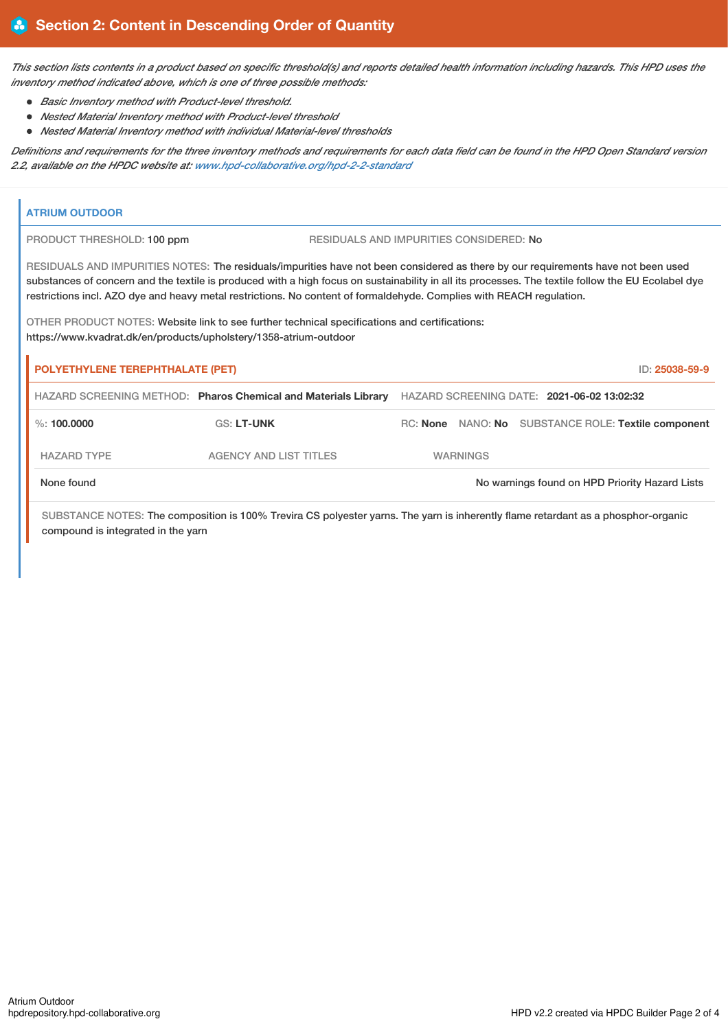This section lists contents in a product based on specific threshold(s) and reports detailed health information including hazards. This HPD uses the *inventory method indicated above, which is one of three possible methods:*

*Basic Inventory method with Product-level threshold.*

i.

compound is integrated in the yarn

- *Nested Material Inventory method with Product-level threshold*
- *Nested Material Inventory method with individual Material-level thresholds*

Definitions and requirements for the three inventory methods and requirements for each data field can be found in the HPD Open Standard version *2.2, available on the HPDC website at: [www.hpd-collaborative.org/hpd-2-2-standard](https://www.hpd-collaborative.org/hpd-2-2-standard)*

|                                                                                                                                                                    | <b>ATRIUM OUTDOOR</b>                                                                                                                                                                                                                                                                                                                                                                                           |                                                                |  |                 |                                                     |                |
|--------------------------------------------------------------------------------------------------------------------------------------------------------------------|-----------------------------------------------------------------------------------------------------------------------------------------------------------------------------------------------------------------------------------------------------------------------------------------------------------------------------------------------------------------------------------------------------------------|----------------------------------------------------------------|--|-----------------|-----------------------------------------------------|----------------|
|                                                                                                                                                                    | PRODUCT THRESHOLD: 100 ppm<br>RESIDUALS AND IMPURITIES CONSIDERED: No                                                                                                                                                                                                                                                                                                                                           |                                                                |  |                 |                                                     |                |
|                                                                                                                                                                    | RESIDUALS AND IMPURITIES NOTES: The residuals/impurities have not been considered as there by our requirements have not been used<br>substances of concern and the textile is produced with a high focus on sustainability in all its processes. The textile follow the EU Ecolabel dye<br>restrictions incl. AZO dye and heavy metal restrictions. No content of formaldehyde. Complies with REACH regulation. |                                                                |  |                 |                                                     |                |
| OTHER PRODUCT NOTES: Website link to see further technical specifications and certifications:<br>https://www.kvadrat.dk/en/products/upholstery/1358-atrium-outdoor |                                                                                                                                                                                                                                                                                                                                                                                                                 |                                                                |  |                 |                                                     |                |
|                                                                                                                                                                    | POLYETHYLENE TEREPHTHALATE (PET)                                                                                                                                                                                                                                                                                                                                                                                |                                                                |  |                 |                                                     | ID: 25038-59-9 |
|                                                                                                                                                                    |                                                                                                                                                                                                                                                                                                                                                                                                                 | HAZARD SCREENING METHOD: Pharos Chemical and Materials Library |  |                 | HAZARD SCREENING DATE: 2021-06-02 13:02:32          |                |
|                                                                                                                                                                    | $\%$ : 100,0000                                                                                                                                                                                                                                                                                                                                                                                                 | <b>GS: LT-UNK</b>                                              |  |                 | RC: None NANO: No SUBSTANCE ROLE: Textile component |                |
|                                                                                                                                                                    | <b>HAZARD TYPE</b>                                                                                                                                                                                                                                                                                                                                                                                              | <b>AGENCY AND LIST TITLES</b>                                  |  | <b>WARNINGS</b> |                                                     |                |
|                                                                                                                                                                    | None found<br>No warnings found on HPD Priority Hazard Lists                                                                                                                                                                                                                                                                                                                                                    |                                                                |  |                 |                                                     |                |
| SUBSTANCE NOTES: The composition is 100% Trevira CS polyester yarns. The yarn is inherently flame retardant as a phosphor-organic                                  |                                                                                                                                                                                                                                                                                                                                                                                                                 |                                                                |  |                 |                                                     |                |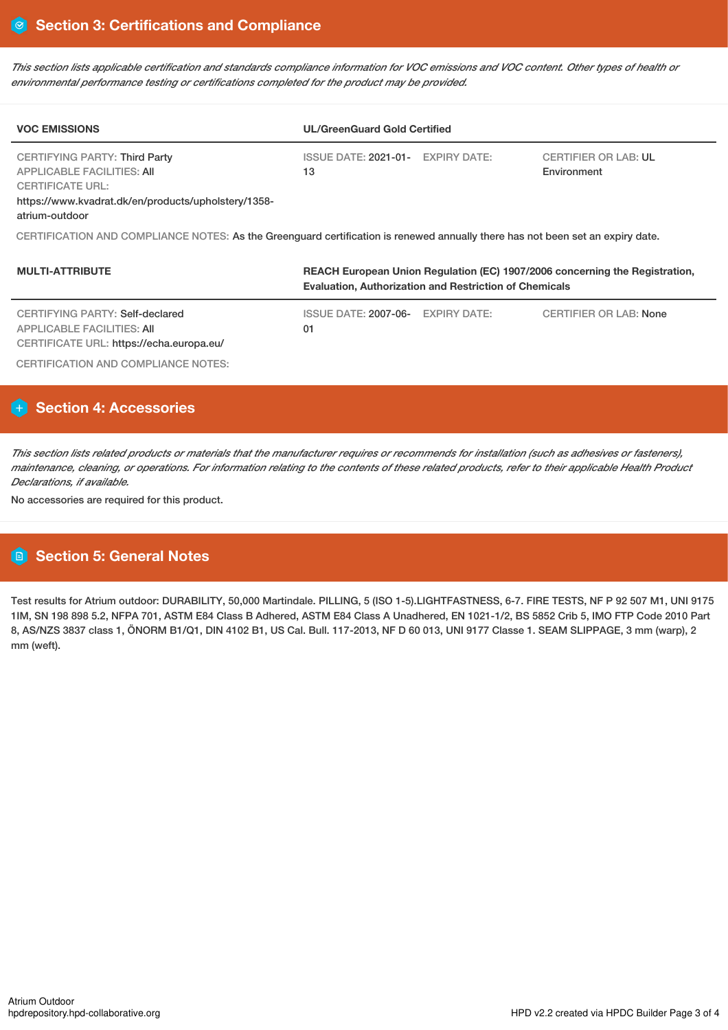This section lists applicable certification and standards compliance information for VOC emissions and VOC content. Other types of health or *environmental performance testing or certifications completed for the product may be provided.*

| <b>VOC EMISSIONS</b>                                                                                                                                                          | <b>UL/GreenGuard Gold Certified</b>                                                                                                          |                                            |  |  |  |
|-------------------------------------------------------------------------------------------------------------------------------------------------------------------------------|----------------------------------------------------------------------------------------------------------------------------------------------|--------------------------------------------|--|--|--|
| <b>CERTIFYING PARTY: Third Party</b><br><b>APPLICABLE FACILITIES: AII</b><br><b>CERTIFICATE URL:</b><br>https://www.kvadrat.dk/en/products/upholstery/1358-<br>atrium-outdoor | ISSUE DATE: 2021-01- EXPIRY DATE:<br>13                                                                                                      | <b>CERTIFIER OR LAB: UL</b><br>Environment |  |  |  |
| CERTIFICATION AND COMPLIANCE NOTES: As the Greenguard certification is renewed annually there has not been set an expiry date.                                                |                                                                                                                                              |                                            |  |  |  |
| <b>MULTI-ATTRIBUTE</b>                                                                                                                                                        | REACH European Union Regulation (EC) 1907/2006 concerning the Registration,<br><b>Evaluation. Authorization and Restriction of Chemicals</b> |                                            |  |  |  |

| CERTIFYING PARTY: Self-declared                                        | ISSUE DATE: 2007-06- EXPIRY DATE: | CERTIFIER OR LAB: None |
|------------------------------------------------------------------------|-----------------------------------|------------------------|
| APPLICABLE FACILITIES: AII<br>CERTIFICATE URL: https://echa.europa.eu/ | 01                                |                        |
| CERTIFICATION AND COMPLIANCE NOTES:                                    |                                   |                        |

# **Section 4: Accessories**

This section lists related products or materials that the manufacturer requires or recommends for installation (such as adhesives or fasteners), maintenance, cleaning, or operations. For information relating to the contents of these related products, refer to their applicable Health Product *Declarations, if available.*

No accessories are required for this product.

# **Section 5: General Notes**

Test results for Atrium outdoor: DURABILITY, 50,000 Martindale. PILLING, 5 (ISO 1-5).LIGHTFASTNESS, 6-7. FIRE TESTS, NF P 92 507 M1, UNI 9175 1IM, SN 198 898 5.2, NFPA 701, ASTM E84 Class B Adhered, ASTM E84 Class A Unadhered, EN 1021-1/2, BS 5852 Crib 5, IMO FTP Code 2010 Part 8, AS/NZS 3837 class 1, ÖNORM B1/Q1, DIN 4102 B1, US Cal. Bull. 117-2013, NF D 60 013, UNI 9177 Classe 1. SEAM SLIPPAGE, 3 mm (warp), 2 mm (weft).